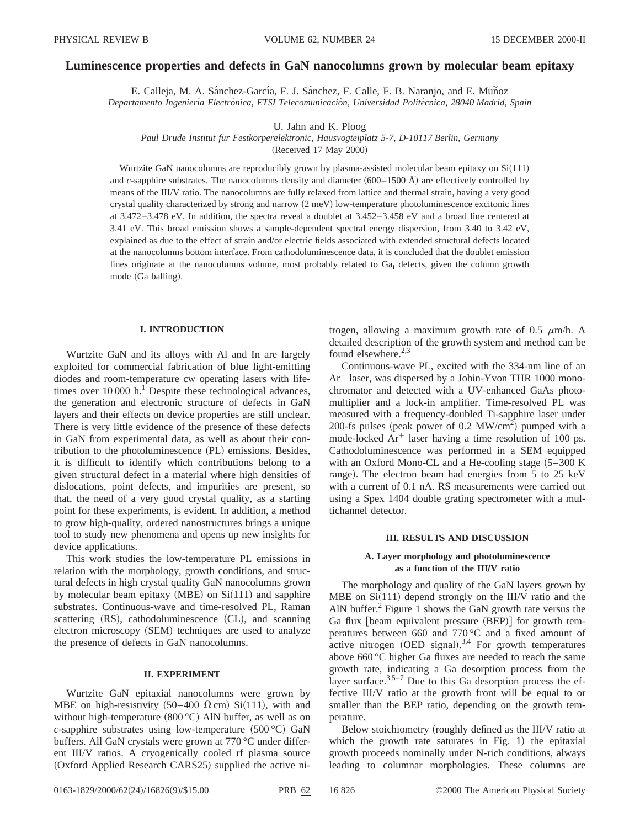### **Luminescence properties and defects in GaN nanocolumns grown by molecular beam epitaxy**

E. Calleja, M. A. Sánchez-García, F. J. Sánchez, F. Calle, F. B. Naranjo, and E. Muñoz *Departamento Ingenierı´a Electro´nica, ETSI Telecomunicacio´n, Universidad Polite´cnica, 28040 Madrid, Spain*

U. Jahn and K. Ploog

*Paul Drude Institut fu¨r Festko¨rperelektronic, Hausvogteiplatz 5-7, D-10117 Berlin, Germany*

(Received 17 May 2000)

Wurtzite GaN nanocolumns are reproducibly grown by plasma-assisted molecular beam epitaxy on  $Si(111)$ and *c*-sapphire substrates. The nanocolumns density and diameter  $(600-1500 \text{ Å})$  are effectively controlled by means of the III/V ratio. The nanocolumns are fully relaxed from lattice and thermal strain, having a very good crystal quality characterized by strong and narrow  $(2 \text{ meV})$  low-temperature photoluminescence excitonic lines at 3.472–3.478 eV. In addition, the spectra reveal a doublet at 3.452–3.458 eV and a broad line centered at 3.41 eV. This broad emission shows a sample-dependent spectral energy dispersion, from 3.40 to 3.42 eV, explained as due to the effect of strain and/or electric fields associated with extended structural defects located at the nanocolumns bottom interface. From cathodoluminescence data, it is concluded that the doublet emission lines originate at the nanocolumns volume, most probably related to  $Ga<sub>I</sub>$  defects, given the column growth mode (Ga balling).

#### **I. INTRODUCTION**

Wurtzite GaN and its alloys with Al and In are largely exploited for commercial fabrication of blue light-emitting diodes and room-temperature cw operating lasers with lifetimes over  $10000$  h.<sup>1</sup> Despite these technological advances, the generation and electronic structure of defects in GaN layers and their effects on device properties are still unclear. There is very little evidence of the presence of these defects in GaN from experimental data, as well as about their contribution to the photoluminescence  $(PL)$  emissions. Besides, it is difficult to identify which contributions belong to a given structural defect in a material where high densities of dislocations, point defects, and impurities are present, so that, the need of a very good crystal quality, as a starting point for these experiments, is evident. In addition, a method to grow high-quality, ordered nanostructures brings a unique tool to study new phenomena and opens up new insights for device applications.

This work studies the low-temperature PL emissions in relation with the morphology, growth conditions, and structural defects in high crystal quality GaN nanocolumns grown by molecular beam epitaxy (MBE) on  $Si(111)$  and sapphire substrates. Continuous-wave and time-resolved PL, Raman scattering  $(RS)$ , cathodoluminescence  $(CL)$ , and scanning electron microscopy (SEM) techniques are used to analyze the presence of defects in GaN nanocolumns.

#### **II. EXPERIMENT**

Wurtzite GaN epitaxial nanocolumns were grown by MBE on high-resistivity  $(50-400 \Omega \text{ cm})$  Si $(111)$ , with and without high-temperature  $(800 °C)$  AlN buffer, as well as on *c*-sapphire substrates using low-temperature (500 °C) GaN buffers. All GaN crystals were grown at 770 °C under different III/V ratios. A cryogenically cooled rf plasma source (Oxford Applied Research CARS25) supplied the active nitrogen, allowing a maximum growth rate of 0.5  $\mu$ m/h. A detailed description of the growth system and method can be found elsewhere. $2,3$ 

Continuous-wave PL, excited with the 334-nm line of an  $Ar^+$  laser, was dispersed by a Jobin-Yvon THR 1000 monochromator and detected with a UV-enhanced GaAs photomultiplier and a lock-in amplifier. Time-resolved PL was measured with a frequency-doubled Ti-sapphire laser under 200-fs pulses (peak power of 0.2 MW/cm<sup>2</sup>) pumped with a mode-locked  $Ar^+$  laser having a time resolution of 100 ps. Cathodoluminescence was performed in a SEM equipped with an Oxford Mono-CL and a He-cooling stage  $(5-300 \text{ K})$ range). The electron beam had energies from 5 to 25 keV with a current of 0.1 nA. RS measurements were carried out using a Spex 1404 double grating spectrometer with a multichannel detector.

#### **III. RESULTS AND DISCUSSION**

## **A. Layer morphology and photoluminescence as a function of the IIIÕV ratio**

The morphology and quality of the GaN layers grown by MBE on  $Si(111)$  depend strongly on the III/V ratio and the AlN buffer.<sup>2</sup> Figure 1 shows the GaN growth rate versus the Ga flux [beam equivalent pressure (BEP)] for growth temperatures between 660 and 770 °C and a fixed amount of active nitrogen (OED signal).<sup>3,4</sup> For growth temperatures above 660 °C higher Ga fluxes are needed to reach the same growth rate, indicating a Ga desorption process from the layer surface. $3.5-7$  Due to this Ga desorption process the effective III/V ratio at the growth front will be equal to or smaller than the BEP ratio, depending on the growth temperature.

Below stoichiometry (roughly defined as the III/V ratio at which the growth rate saturates in Fig.  $1$ ) the epitaxial growth proceeds nominally under N-rich conditions, always leading to columnar morphologies. These columns are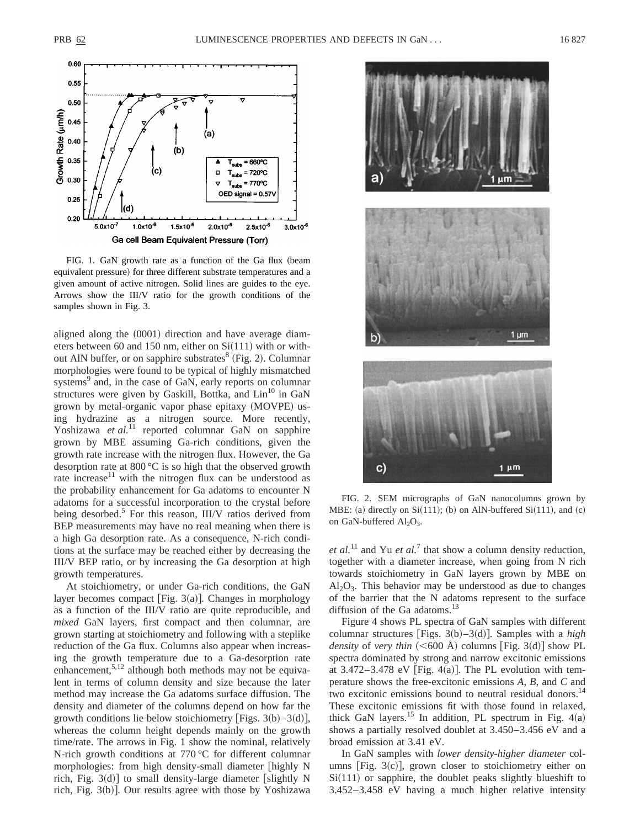

FIG. 1. GaN growth rate as a function of the Ga flux (beam equivalent pressure) for three different substrate temperatures and a given amount of active nitrogen. Solid lines are guides to the eye. Arrows show the III/V ratio for the growth conditions of the samples shown in Fig. 3.

aligned along the  $(0001)$  direction and have average diameters between 60 and 150 nm, either on  $Si(111)$  with or without AlN buffer, or on sapphire substrates $8$  (Fig. 2). Columnar morphologies were found to be typical of highly mismatched systems<sup>9</sup> and, in the case of GaN, early reports on columnar structures were given by Gaskill, Bottka, and  $Lin<sup>10</sup>$  in GaN grown by metal-organic vapor phase epitaxy (MOVPE) using hydrazine as a nitrogen source. More recently, Yoshizawa et al.<sup>11</sup> reported columnar GaN on sapphire grown by MBE assuming Ga-rich conditions, given the growth rate increase with the nitrogen flux. However, the Ga desorption rate at 800 °C is so high that the observed growth rate increase<sup>11</sup> with the nitrogen flux can be understood as the probability enhancement for Ga adatoms to encounter N adatoms for a successful incorporation to the crystal before being desorbed.<sup>5</sup> For this reason, III/V ratios derived from BEP measurements may have no real meaning when there is a high Ga desorption rate. As a consequence, N-rich conditions at the surface may be reached either by decreasing the III/V BEP ratio, or by increasing the Ga desorption at high growth temperatures.

At stoichiometry, or under Ga-rich conditions, the GaN layer becomes compact [Fig.  $3(a)$ ]. Changes in morphology as a function of the III/V ratio are quite reproducible, and *mixed* GaN layers, first compact and then columnar, are grown starting at stoichiometry and following with a steplike reduction of the Ga flux. Columns also appear when increasing the growth temperature due to a Ga-desorption rate enhancement,  $5,12$  although both methods may not be equivalent in terms of column density and size because the later method may increase the Ga adatoms surface diffusion. The density and diameter of the columns depend on how far the growth conditions lie below stoichiometry [Figs. 3(b)–3(d)], whereas the column height depends mainly on the growth time/rate. The arrows in Fig. 1 show the nominal, relatively N-rich growth conditions at 770 °C for different columnar morphologies: from high density-small diameter highly N rich, Fig.  $3(d)$  to small density-large diameter [slightly N rich, Fig.  $3(b)$ ]. Our results agree with those by Yoshizawa



FIG. 2. SEM micrographs of GaN nanocolumns grown by MBE: (a) directly on  $Si(111)$ ; (b) on AlN-buffered  $Si(111)$ , and (c) on GaN-buffered  $Al_2O_3$ .

*et al.*<sup>11</sup> and Yu *et al.*<sup>7</sup> that show a column density reduction, together with a diameter increase, when going from N rich towards stoichiometry in GaN layers grown by MBE on  $Al_2O_3$ . This behavior may be understood as due to changes of the barrier that the N adatoms represent to the surface diffusion of the Ga adatoms. $^{13}$ 

Figure 4 shows PL spectra of GaN samples with different columnar structures [Figs.  $3(b) - 3(d)$ ]. Samples with a *high density* of *very thin*  $(**600**$  Å) columns [Fig. 3(d)] show PL spectra dominated by strong and narrow excitonic emissions at 3.472–3.478 eV [Fig. 4(a)]. The PL evolution with temperature shows the free-excitonic emissions *A*, *B*, and *C* and two excitonic emissions bound to neutral residual donors.<sup>14</sup> These excitonic emissions fit with those found in relaxed, thick GaN layers.<sup>15</sup> In addition, PL spectrum in Fig.  $4(a)$ shows a partially resolved doublet at 3.450–3.456 eV and a broad emission at 3.41 eV.

In GaN samples with *lower density-higher diameter* columns  $[Fig. 3(c)]$ , grown closer to stoichiometry either on  $Si(111)$  or sapphire, the doublet peaks slightly blueshift to 3.452–3.458 eV having a much higher relative intensity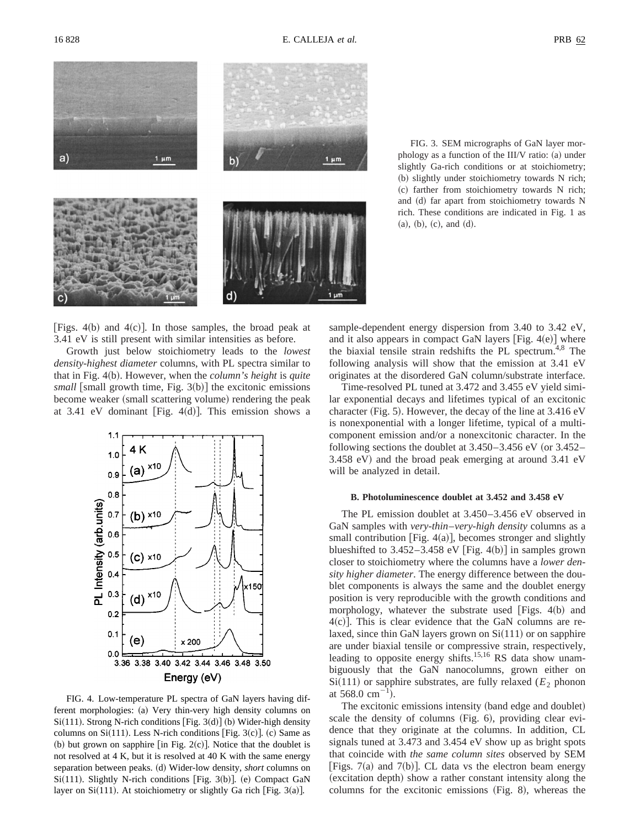

FIG. 3. SEM micrographs of GaN layer morphology as a function of the III/V ratio:  $(a)$  under slightly Ga-rich conditions or at stoichiometry; (b) slightly under stoichiometry towards N rich; (c) farther from stoichiometry towards N rich; and (d) far apart from stoichiometry towards N rich. These conditions are indicated in Fig. 1 as  $(a), (b), (c), and (d).$ 

[Figs. 4(b) and 4(c)]. In those samples, the broad peak at 3.41 eV is still present with similar intensities as before.

Growth just below stoichiometry leads to the *lowest density-highest diameter* columns, with PL spectra similar to that in Fig. 4(b). However, when the *column's height* is *quite*  $small$  [small growth time, Fig.  $3(b)$ ] the excitonic emissions become weaker (small scattering volume) rendering the peak at 3.41 eV dominant [Fig. 4 $(d)$ ]. This emission shows a



FIG. 4. Low-temperature PL spectra of GaN layers having different morphologies: (a) Very thin-very high density columns on  $Si(111)$ . Strong N-rich conditions [Fig. 3(d)] (b) Wider-high density columns on  $Si(111)$ . Less N-rich conditions [Fig. 3(c)]. (c) Same as (b) but grown on sapphire  $\left[$ in Fig. 2(c) $\right]$ . Notice that the doublet is not resolved at 4 K, but it is resolved at 40 K with the same energy separation between peaks. (d) Wider-low density, *short* columns on  $Si(111)$ . Slightly N-rich conditions [Fig. 3(b)]. (e) Compact GaN layer on Si $(111)$ . At stoichiometry or slightly Ga rich [Fig. 3(a)].

sample-dependent energy dispersion from 3.40 to 3.42 eV, and it also appears in compact GaN layers  $[Fig. 4(e)]$  where the biaxial tensile strain redshifts the PL spectrum.<sup>4,8</sup> The following analysis will show that the emission at 3.41 eV originates at the disordered GaN column/substrate interface.

Time-resolved PL tuned at 3.472 and 3.455 eV yield similar exponential decays and lifetimes typical of an excitonic character (Fig. 5). However, the decay of the line at  $3.416 \text{ eV}$ is nonexponential with a longer lifetime, typical of a multicomponent emission and/or a nonexcitonic character. In the following sections the doublet at  $3.450 - 3.456$  eV (or  $3.452 3.458$  eV) and the broad peak emerging at around  $3.41$  eV will be analyzed in detail.

#### **B. Photoluminescence doublet at 3.452 and 3.458 eV**

The PL emission doublet at 3.450–3.456 eV observed in GaN samples with *very-thin*–*very-high density* columns as a small contribution [Fig.  $4(a)$ ], becomes stronger and slightly blueshifted to  $3.452 - 3.458$  eV [Fig. 4(b)] in samples grown closer to stoichiometry where the columns have a *lower density higher diameter*. The energy difference between the doublet components is always the same and the doublet energy position is very reproducible with the growth conditions and morphology, whatever the substrate used [Figs.  $4(b)$  and  $4(c)$ ]. This is clear evidence that the GaN columns are relaxed, since thin GaN layers grown on  $Si(111)$  or on sapphire are under biaxial tensile or compressive strain, respectively, leading to opposite energy shifts.<sup>15,16</sup> RS data show unambiguously that the GaN nanocolumns, grown either on  $Si(111)$  or sapphire substrates, are fully relaxed ( $E<sub>2</sub>$  phonon at 568.0  $\text{cm}^{-1}$ ).

The excitonic emissions intensity (band edge and doublet) scale the density of columns (Fig. 6), providing clear evidence that they originate at the columns. In addition, CL signals tuned at 3.473 and 3.454 eV show up as bright spots that coincide with *the same column sites* observed by SEM [Figs. 7(a) and 7(b)]. CL data vs the electron beam energy (excitation depth) show a rather constant intensity along the columns for the excitonic emissions  $(Fig. 8)$ , whereas the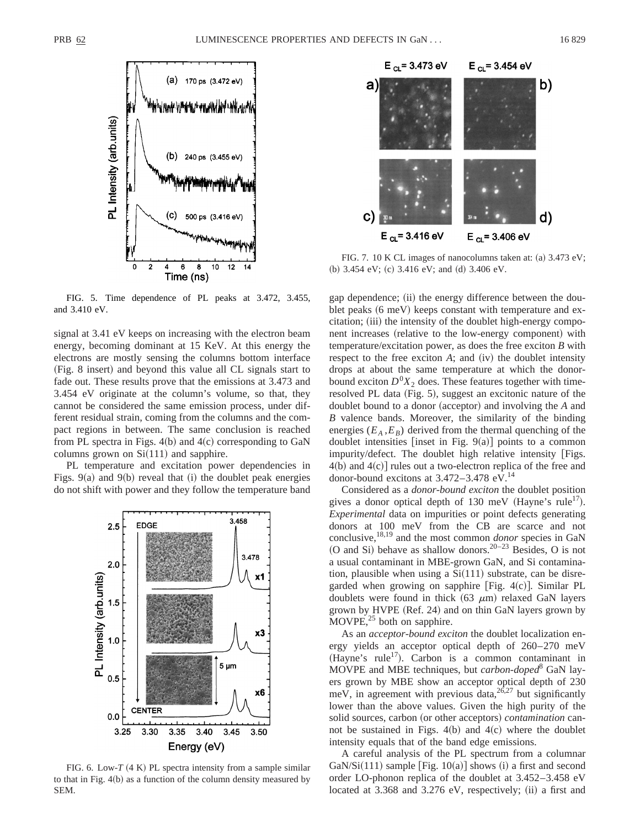

FIG. 5. Time dependence of PL peaks at 3.472, 3.455, and 3.410 eV.

signal at 3.41 eV keeps on increasing with the electron beam energy, becoming dominant at 15 KeV. At this energy the electrons are mostly sensing the columns bottom interface (Fig. 8 insert) and beyond this value all CL signals start to fade out. These results prove that the emissions at 3.473 and 3.454 eV originate at the column's volume, so that, they cannot be considered the same emission process, under different residual strain, coming from the columns and the compact regions in between. The same conclusion is reached from PL spectra in Figs.  $4(b)$  and  $4(c)$  corresponding to GaN columns grown on  $Si(111)$  and sapphire.

PL temperature and excitation power dependencies in Figs.  $9(a)$  and  $9(b)$  reveal that  $(i)$  the doublet peak energies do not shift with power and they follow the temperature band



FIG. 6. Low- $T(4 K)$  PL spectra intensity from a sample similar to that in Fig.  $4(b)$  as a function of the column density measured by SEM.



FIG. 7. 10 K CL images of nanocolumns taken at: (a)  $3.473$  eV; (b)  $3.454$  eV; (c)  $3.416$  eV; and (d)  $3.406$  eV.

gap dependence; (ii) the energy difference between the doublet peaks  $(6 \text{ meV})$  keeps constant with temperature and excitation; (iii) the intensity of the doublet high-energy component increases (relative to the low-energy component) with temperature/excitation power, as does the free exciton *B* with respect to the free exciton  $A$ ; and  $(iv)$  the doublet intensity drops at about the same temperature at which the donorbound exciton  $D^{0}X_2$  does. These features together with timeresolved PL data (Fig. 5), suggest an excitonic nature of the doublet bound to a donor (acceptor) and involving the *A* and *B* valence bands. Moreover, the similarity of the binding energies  $(E_A, E_B)$  derived from the thermal quenching of the doublet intensities [inset in Fig.  $9(a)$ ] points to a common impurity/defect. The doublet high relative intensity [Figs.  $4(b)$  and  $4(c)$ ] rules out a two-electron replica of the free and donor-bound excitons at  $3.472 - 3.478$  eV.<sup>14</sup>

Considered as a *donor-bound exciton* the doublet position gives a donor optical depth of 130 meV (Hayne's rule<sup>17</sup>). *Experimental* data on impurities or point defects generating donors at 100 meV from the CB are scarce and not conclusive,18,19 and the most common *donor* species in GaN (O and Si) behave as shallow donors.<sup>20–23</sup> Besides, O is not a usual contaminant in MBE-grown GaN, and Si contamination, plausible when using a  $Si(111)$  substrate, can be disregarded when growing on sapphire [Fig.  $4(c)$ ]. Similar PL doublets were found in thick  $(63 \mu m)$  relaxed GaN layers grown by HVPE (Ref. 24) and on thin GaN layers grown by  $MOVPE<sup>25</sup>$  both on sapphire.

As an *acceptor-bound exciton* the doublet localization energy yields an acceptor optical depth of 260–270 meV (Hayne's rule<sup>17</sup>). Carbon is a common contaminant in MOVPE and MBE techniques, but *carbon-doped*<sup>8</sup> GaN layers grown by MBE show an acceptor optical depth of 230 meV, in agreement with previous data,  $26,27$  but significantly lower than the above values. Given the high purity of the solid sources, carbon (or other acceptors) *contamination* cannot be sustained in Figs.  $4(b)$  and  $4(c)$  where the doublet intensity equals that of the band edge emissions.

A careful analysis of the PL spectrum from a columnar GaN/Si $(111)$  sample [Fig. 10(a)] shows (i) a first and second order LO-phonon replica of the doublet at 3.452–3.458 eV located at  $3.368$  and  $3.276$  eV, respectively; (ii) a first and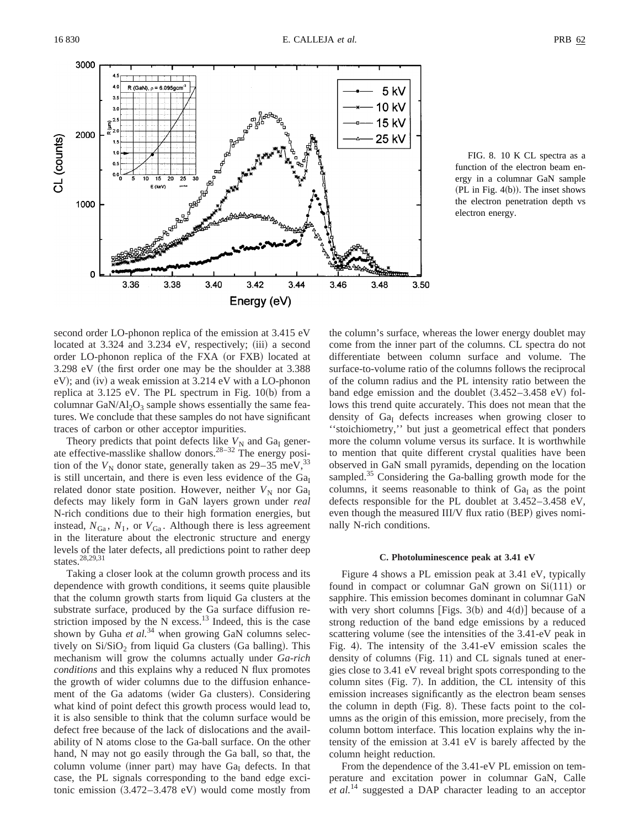

FIG. 8. 10 K CL spectra as a function of the electron beam energy in a columnar GaN sample  $(PL in Fig. 4(b)).$  The inset shows the electron penetration depth vs electron energy.

second order LO-phonon replica of the emission at 3.415 eV located at  $3.324$  and  $3.234$  eV, respectively; (iii) a second order LO-phonon replica of the FXA (or FXB) located at 3.298 eV (the first order one may be the shoulder at 3.388)  $eV$ ); and (iv) a weak emission at 3.214 eV with a LO-phonon replica at  $3.125$  eV. The PL spectrum in Fig.  $10(b)$  from a columnar GaN/Al<sub>2</sub>O<sub>3</sub> sample shows essentially the same features. We conclude that these samples do not have significant traces of carbon or other acceptor impurities.

Theory predicts that point defects like  $V_N$  and Ga<sub>I</sub> generate effective-masslike shallow donors.<sup>28-32</sup> The energy position of the  $V_N$  donor state, generally taken as  $29-35$  meV,<sup>33</sup> is still uncertain, and there is even less evidence of the  $Ga<sub>I</sub>$ related donor state position. However, neither  $V<sub>N</sub>$  nor Ga<sub>I</sub> defects may likely form in GaN layers grown under *real* N-rich conditions due to their high formation energies, but instead,  $N_{Ga}$ ,  $N_I$ , or  $V_{Ga}$ . Although there is less agreement in the literature about the electronic structure and energy levels of the later defects, all predictions point to rather deep states.<sup>28,29,31</sup>

Taking a closer look at the column growth process and its dependence with growth conditions, it seems quite plausible that the column growth starts from liquid Ga clusters at the substrate surface, produced by the Ga surface diffusion restriction imposed by the N excess. $13$  Indeed, this is the case shown by Guha et al.<sup>34</sup> when growing GaN columns selectively on  $Si/SiO<sub>2</sub>$  from liquid Ga clusters (Ga balling). This mechanism will grow the columns actually under *Ga-rich conditions* and this explains why a reduced N flux promotes the growth of wider columns due to the diffusion enhancement of the Ga adatoms (wider Ga clusters). Considering what kind of point defect this growth process would lead to, it is also sensible to think that the column surface would be defect free because of the lack of dislocations and the availability of N atoms close to the Ga-ball surface. On the other hand, N may not go easily through the Ga ball, so that, the column volume (inner part) may have  $Ga<sub>I</sub>$  defects. In that case, the PL signals corresponding to the band edge excitonic emission  $(3.472-3.478 \text{ eV})$  would come mostly from the column's surface, whereas the lower energy doublet may come from the inner part of the columns. CL spectra do not differentiate between column surface and volume. The surface-to-volume ratio of the columns follows the reciprocal of the column radius and the PL intensity ratio between the band edge emission and the doublet  $(3.452-3.458 \text{ eV})$  follows this trend quite accurately. This does not mean that the density of  $Ga<sub>I</sub>$  defects increases when growing closer to ''stoichiometry,'' but just a geometrical effect that ponders more the column volume versus its surface. It is worthwhile to mention that quite different crystal qualities have been observed in GaN small pyramids, depending on the location sampled.<sup>35</sup> Considering the Ga-balling growth mode for the columns, it seems reasonable to think of  $Ga<sub>I</sub>$  as the point defects responsible for the PL doublet at 3.452–3.458 eV, even though the measured  $III/V$  flux ratio  $(BEP)$  gives nominally N-rich conditions.

# **C. Photoluminescence peak at 3.41 eV**

Figure 4 shows a PL emission peak at 3.41 eV, typically found in compact or columnar GaN grown on  $Si(111)$  or sapphire. This emission becomes dominant in columnar GaN with very short columns [Figs. 3(b) and  $4(d)$ ] because of a strong reduction of the band edge emissions by a reduced scattering volume (see the intensities of the 3.41-eV peak in Fig. 4). The intensity of the  $3.41-eV$  emission scales the density of columns  $(Fig. 11)$  and CL signals tuned at energies close to 3.41 eV reveal bright spots corresponding to the column sites  $(Fig. 7)$ . In addition, the CL intensity of this emission increases significantly as the electron beam senses the column in depth  $(Fig. 8)$ . These facts point to the columns as the origin of this emission, more precisely, from the column bottom interface. This location explains why the intensity of the emission at 3.41 eV is barely affected by the column height reduction.

From the dependence of the 3.41-eV PL emission on temperature and excitation power in columnar GaN, Calle *et al.*<sup>14</sup> suggested a DAP character leading to an acceptor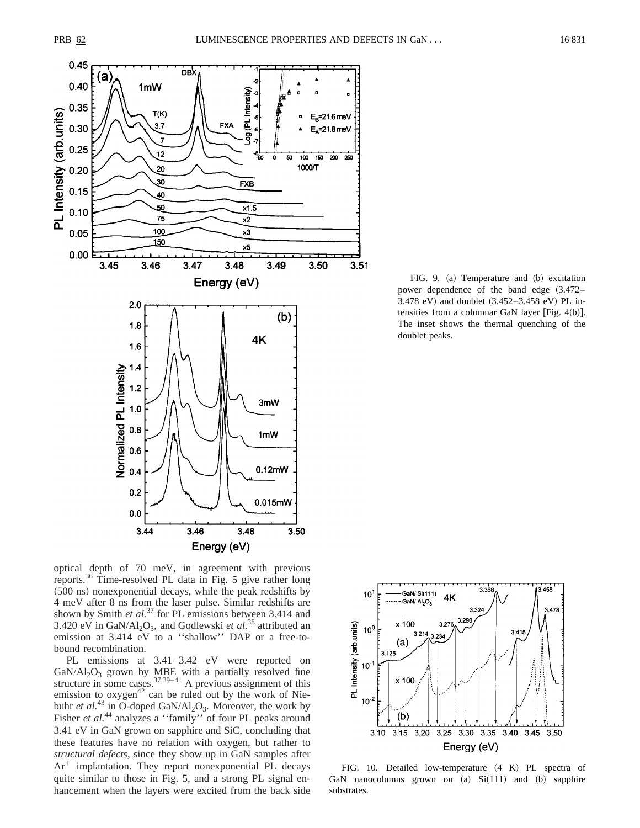

optical depth of 70 meV, in agreement with previous reports.36 Time-resolved PL data in Fig. 5 give rather long  $(500 \text{ ns})$  nonexponential decays, while the peak redshifts by 4 meV after 8 ns from the laser pulse. Similar redshifts are shown by Smith *et al.*<sup>37</sup> for PL emissions between 3.414 and 3.420 eV in GaN/Al<sub>2</sub>O<sub>3</sub>, and Godlewski *et al.*<sup>38</sup> attributed an emission at 3.414 eV to a ''shallow'' DAP or a free-tobound recombination.

PL emissions at 3.41–3.42 eV were reported on  $GaN/Al<sub>2</sub>O<sub>3</sub>$  grown by MBE with a partially resolved fine structure in some cases.  $37,39-41$  A previous assignment of this emission to  $oxygen<sup>42</sup>$  can be ruled out by the work of Niebuhr *et al.*<sup>43</sup> in O-doped GaN/Al<sub>2</sub>O<sub>3</sub>. Moreover, the work by Fisher *et al.*<sup>44</sup> analyzes a "family" of four PL peaks around 3.41 eV in GaN grown on sapphire and SiC, concluding that these features have no relation with oxygen, but rather to *structural defects*, since they show up in GaN samples after  $Ar^+$  implantation. They report nonexponential PL decays quite similar to those in Fig. 5, and a strong PL signal enhancement when the layers were excited from the back side

FIG. 9. (a) Temperature and (b) excitation power dependence of the band edge  $(3.472-$ 3.478 eV) and doublet  $(3.452-3.458 \text{ eV})$  PL intensities from a columnar GaN layer [Fig.  $4(b)$ ]. The inset shows the thermal quenching of the doublet peaks.



FIG. 10. Detailed low-temperature  $(4 K)$  PL spectra of GaN nanocolumns grown on  $(a)$   $Si(111)$  and  $(b)$  sapphire substrates.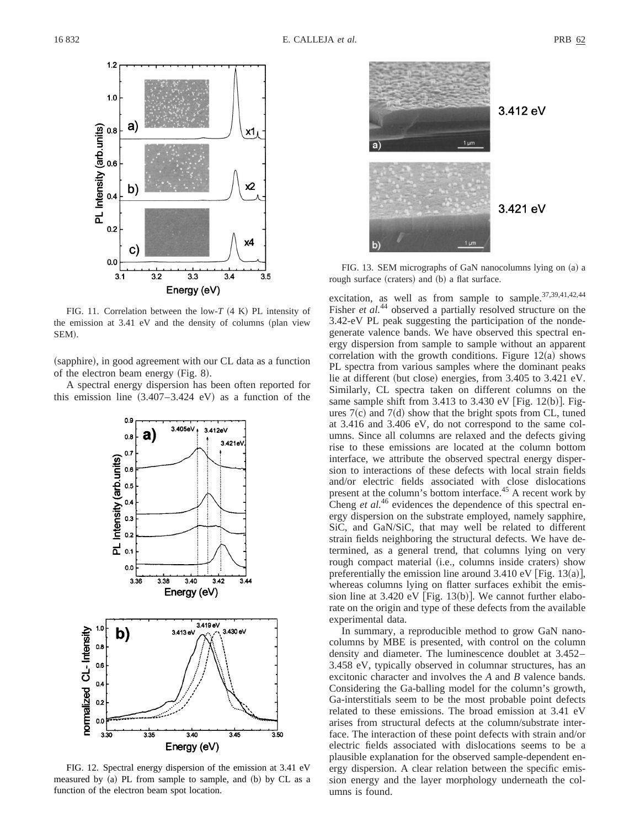

FIG. 11. Correlation between the low- $T$  (4 K) PL intensity of the emission at  $3.41$  eV and the density of columns (plan view SEM).

(sapphire), in good agreement with our CL data as a function of the electron beam energy  $(Fig. 8)$ .

A spectral energy dispersion has been often reported for this emission line  $(3.407-3.424 \text{ eV})$  as a function of the



FIG. 12. Spectral energy dispersion of the emission at 3.41 eV measured by (a) PL from sample to sample, and (b) by CL as a function of the electron beam spot location.



FIG. 13. SEM micrographs of GaN nanocolumns lying on (a) a rough surface (craters) and (b) a flat surface.

excitation, as well as from sample to sample.<sup>37,39,41,42,44</sup> Fisher *et al.*<sup>44</sup> observed a partially resolved structure on the 3.42-eV PL peak suggesting the participation of the nondegenerate valence bands. We have observed this spectral energy dispersion from sample to sample without an apparent correlation with the growth conditions. Figure  $12(a)$  shows PL spectra from various samples where the dominant peaks lie at different (but close) energies, from  $3.405$  to  $3.421$  eV. Similarly, CL spectra taken on different columns on the same sample shift from  $3.413$  to  $3.430$  eV [Fig. 12(b)]. Figures  $7(c)$  and  $7(d)$  show that the bright spots from CL, tuned at 3.416 and 3.406 eV, do not correspond to the same columns. Since all columns are relaxed and the defects giving rise to these emissions are located at the column bottom interface, we attribute the observed spectral energy dispersion to interactions of these defects with local strain fields and/or electric fields associated with close dislocations present at the column's bottom interface.<sup>45</sup> A recent work by Cheng *et al.*<sup>46</sup> evidences the dependence of this spectral energy dispersion on the substrate employed, namely sapphire, SiC, and GaN/SiC, that may well be related to different strain fields neighboring the structural defects. We have determined, as a general trend, that columns lying on very rough compact material (i.e., columns inside craters) show preferentially the emission line around  $3.410 \text{ eV}$  [Fig. 13(a)], whereas columns lying on flatter surfaces exhibit the emission line at  $3.420 \text{ eV}$  [Fig. 13(b)]. We cannot further elaborate on the origin and type of these defects from the available experimental data.

In summary, a reproducible method to grow GaN nanocolumns by MBE is presented, with control on the column density and diameter. The luminescence doublet at 3.452– 3.458 eV, typically observed in columnar structures, has an excitonic character and involves the *A* and *B* valence bands. Considering the Ga-balling model for the column's growth, Ga-interstitials seem to be the most probable point defects related to these emissions. The broad emission at 3.41 eV arises from structural defects at the column/substrate interface. The interaction of these point defects with strain and/or electric fields associated with dislocations seems to be a plausible explanation for the observed sample-dependent energy dispersion. A clear relation between the specific emission energy and the layer morphology underneath the columns is found.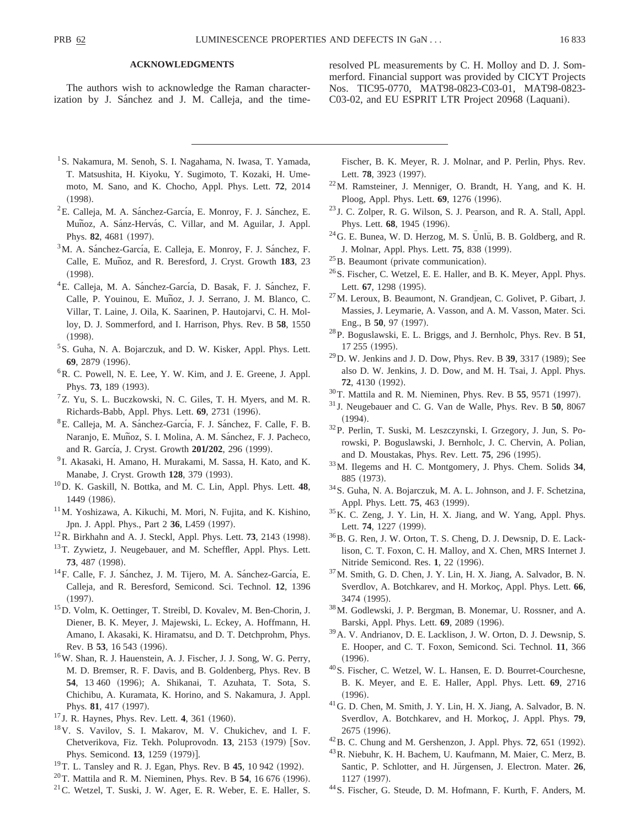## **ACKNOWLEDGMENTS**

The authors wish to acknowledge the Raman characterization by J. Sánchez and J. M. Calleja, and the timeresolved PL measurements by C. H. Molloy and D. J. Sommerford. Financial support was provided by CICYT Projects Nos. TIC95-0770, MAT98-0823-C03-01, MAT98-0823- C03-02, and EU ESPRIT LTR Project 20968 (Laquani).

- <sup>1</sup> S. Nakamura, M. Senoh, S. I. Nagahama, N. Iwasa, T. Yamada, T. Matsushita, H. Kiyoku, Y. Sugimoto, T. Kozaki, H. Umemoto, M. Sano, and K. Chocho, Appl. Phys. Lett. **72**, 2014  $(1998).$
- ${}^{2}E$ . Calleja, M. A. Sánchez-García, E. Monroy, F. J. Sánchez, E. Muñoz, A. Sánz-Hervás, C. Villar, and M. Aguilar, J. Appl. Phys. 82, 4681 (1997).
- $3<sup>3</sup>M$ . A. Sánchez-García, E. Calleja, E. Monroy, F. J. Sánchez, F. Calle, E. Munoz, and R. Beresford, J. Cryst. Growth 183, 23  $(1998).$
- <sup>4</sup>E. Calleja, M. A. Sánchez-García, D. Basak, F. J. Sánchez, F. Calle, P. Youinou, E. Muñoz, J. J. Serrano, J. M. Blanco, C. Villar, T. Laine, J. Oila, K. Saarinen, P. Hautojarvi, C. H. Molloy, D. J. Sommerford, and I. Harrison, Phys. Rev. B **58**, 1550  $(1998).$
- <sup>5</sup>S. Guha, N. A. Bojarczuk, and D. W. Kisker, Appl. Phys. Lett. **69**, 2879 (1996).
- <sup>6</sup>R. C. Powell, N. E. Lee, Y. W. Kim, and J. E. Greene, J. Appl. Phys. **73**, 189 (1993).
- ${}^{7}Z$ . Yu, S. L. Buczkowski, N. C. Giles, T. H. Myers, and M. R. Richards-Babb, Appl. Phys. Lett. 69, 2731 (1996).
- <sup>8</sup>E. Calleja, M. A. Sánchez-García, F. J. Sánchez, F. Calle, F. B. Naranjo, E. Muñoz, S. I. Molina, A. M. Sánchez, F. J. Pacheco, and R. García, J. Cryst. Growth **201/202**, 296 (1999).
- <sup>9</sup> I. Akasaki, H. Amano, H. Murakami, M. Sassa, H. Kato, and K. Manabe, J. Cryst. Growth **128**, 379 (1993).
- 10D. K. Gaskill, N. Bottka, and M. C. Lin, Appl. Phys. Lett. **48**, 1449 (1986).
- 11M. Yoshizawa, A. Kikuchi, M. Mori, N. Fujita, and K. Kishino, Jpn. J. Appl. Phys., Part 2 36, L459 (1997).
- $12R$ . Birkhahn and A. J. Steckl, Appl. Phys. Lett. **73**, 2143 (1998).
- <sup>13</sup>T. Zywietz, J. Neugebauer, and M. Scheffler, Appl. Phys. Lett. 73, 487 (1998).
- <sup>14</sup>F. Calle, F. J. Sánchez, J. M. Tijero, M. A. Sánchez-García, E. Calleja, and R. Beresford, Semicond. Sci. Technol. **12**, 1396  $(1997).$
- 15D. Volm, K. Oettinger, T. Streibl, D. Kovalev, M. Ben-Chorin, J. Diener, B. K. Meyer, J. Majewski, L. Eckey, A. Hoffmann, H. Amano, I. Akasaki, K. Hiramatsu, and D. T. Detchprohm, Phys. Rev. B 53, 16 543 (1996).
- 16W. Shan, R. J. Hauenstein, A. J. Fischer, J. J. Song, W. G. Perry, M. D. Bremser, R. F. Davis, and B. Goldenberg, Phys. Rev. B 54, 13 460 (1996); A. Shikanai, T. Azuhata, T. Sota, S. Chichibu, A. Kuramata, K. Horino, and S. Nakamura, J. Appl. Phys. 81, 417 (1997).
- <sup>17</sup> J. R. Haynes, Phys. Rev. Lett. **4**, 361 (1960).
- 18V. S. Vavilov, S. I. Makarov, M. V. Chukichev, and I. F. Chetverikova, Fiz. Tekh. Poluprovodn. 13, 2153 (1979) [Sov. Phys. Semicond. **13**, 1259 (1979)].
- <sup>19</sup>T. L. Tansley and R. J. Egan, Phys. Rev. B **45**, 10 942 (1992).
- $^{20}$ T. Mattila and R. M. Nieminen, Phys. Rev. B 54, 16 676 (1996).
- $21$ C. Wetzel, T. Suski, J. W. Ager, E. R. Weber, E. E. Haller, S.

Fischer, B. K. Meyer, R. J. Molnar, and P. Perlin, Phys. Rev. Lett. 78, 3923 (1997).

- 22M. Ramsteiner, J. Menniger, O. Brandt, H. Yang, and K. H. Ploog, Appl. Phys. Lett. **69**, 1276 (1996).
- <sup>23</sup> J. C. Zolper, R. G. Wilson, S. J. Pearson, and R. A. Stall, Appl. Phys. Lett. **68**, 1945 (1996). <sup>24</sup>G. E. Bunea, W. D. Herzog, M. S. Ünlü, B. B. Goldberg, and R.
- J. Molnar, Appl. Phys. Lett. **75**, 838 (1999).
- $25B$ . Beaumont (private communication).
- 26S. Fischer, C. Wetzel, E. E. Haller, and B. K. Meyer, Appl. Phys. Lett. **67**, 1298 (1995).
- 27M. Leroux, B. Beaumont, N. Grandjean, C. Golivet, P. Gibart, J. Massies, J. Leymarie, A. Vasson, and A. M. Vasson, Mater. Sci. Eng., B **50**, 97 (1997).
- 28P. Boguslawski, E. L. Briggs, and J. Bernholc, Phys. Rev. B **51**, 17 255 (1995).
- <sup>29</sup> D. W. Jenkins and J. D. Dow, Phys. Rev. B 39, 3317 (1989); See also D. W. Jenkins, J. D. Dow, and M. H. Tsai, J. Appl. Phys. **72**, 4130 (1992).
- <sup>30</sup>T. Mattila and R. M. Nieminen, Phys. Rev. B 55, 9571 (1997).
- <sup>31</sup> J. Neugebauer and C. G. Van de Walle, Phys. Rev. B **50**, 8067  $(1994).$
- 32P. Perlin, T. Suski, M. Leszczynski, I. Grzegory, J. Jun, S. Porowski, P. Boguslawski, J. Bernholc, J. C. Chervin, A. Polian, and D. Moustakas, Phys. Rev. Lett. **75**, 296 (1995).
- 33M. Ilegems and H. C. Montgomery, J. Phys. Chem. Solids **34**, 885 (1973).
- 34S. Guha, N. A. Bojarczuk, M. A. L. Johnson, and J. F. Schetzina, Appl. Phys. Lett. **75**, 463 (1999).
- 35K. C. Zeng, J. Y. Lin, H. X. Jiang, and W. Yang, Appl. Phys. Lett. **74**, 1227 (1999).
- 36B. G. Ren, J. W. Orton, T. S. Cheng, D. J. Dewsnip, D. E. Lacklison, C. T. Foxon, C. H. Malloy, and X. Chen, MRS Internet J. Nitride Semicond. Res. 1, 22 (1996).
- 37M. Smith, G. D. Chen, J. Y. Lin, H. X. Jiang, A. Salvador, B. N. Sverdlov, A. Botchkarev, and H. Morkoç, Appl. Phys. Lett. 66, 3474 (1995).
- 38M. Godlewski, J. P. Bergman, B. Monemar, U. Rossner, and A. Barski, Appl. Phys. Lett. **69**, 2089 (1996).
- 39A. V. Andrianov, D. E. Lacklison, J. W. Orton, D. J. Dewsnip, S. E. Hooper, and C. T. Foxon, Semicond. Sci. Technol. **11**, 366  $(1996).$
- 40S. Fischer, C. Wetzel, W. L. Hansen, E. D. Bourret-Courchesne, B. K. Meyer, and E. E. Haller, Appl. Phys. Lett. **69**, 2716  $(1996).$
- 41G. D. Chen, M. Smith, J. Y. Lin, H. X. Jiang, A. Salvador, B. N. Sverdlov, A. Botchkarev, and H. Morkoc, J. Appl. Phys. 79, 2675 (1996).
- <sup>42</sup> B. C. Chung and M. Gershenzon, J. Appl. Phys. **72**, 651 (1992).
- 43R. Niebuhr, K. H. Bachem, U. Kaufmann, M. Maier, C. Merz, B. Santic, P. Schlotter, and H. Jürgensen, J. Electron. Mater. 26, 1127 (1997).
- 44S. Fischer, G. Steude, D. M. Hofmann, F. Kurth, F. Anders, M.